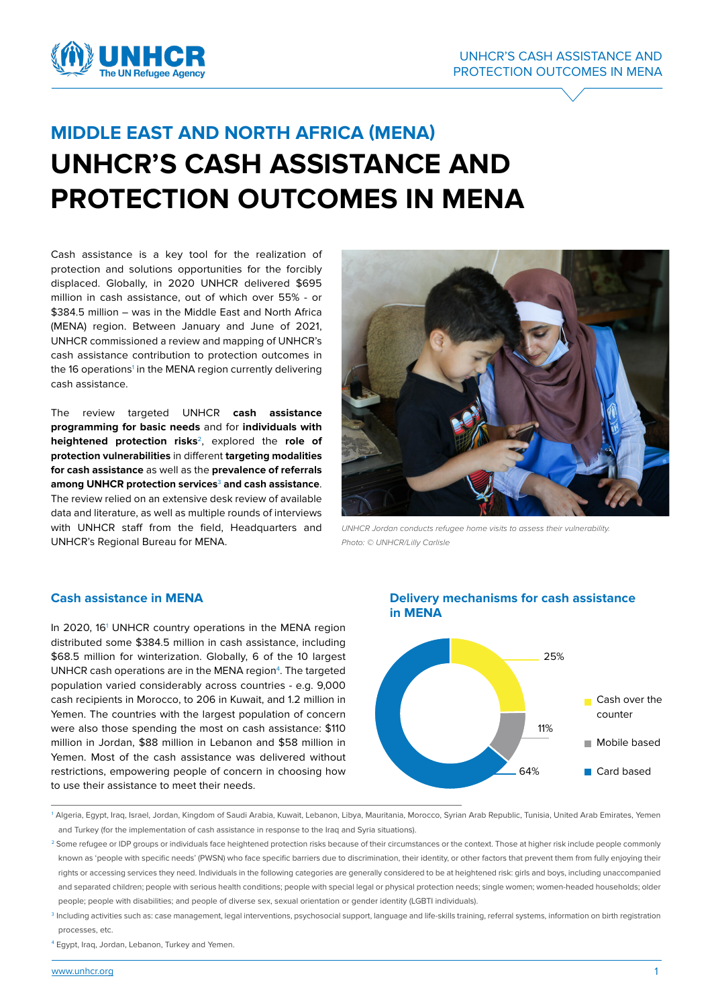

# **MIDDLE EAST AND NORTH AFRICA (MENA) UNHCR'S CASH ASSISTANCE AND PROTECTION OUTCOMES IN MENA**

Cash assistance is a key tool for the realization of protection and solutions opportunities for the forcibly displaced. Globally, in 2020 UNHCR delivered \$695 million in cash assistance, out of which over 55% - or \$384.5 million – was in the Middle East and North Africa (MENA) region. Between January and June of 2021, UNHCR commissioned a review and mapping of UNHCR's cash assistance contribution to protection outcomes in the 16 operations<sup>1</sup> in the MENA region currently delivering cash assistance.

The review targeted UNHCR **cash assistance programming for basic needs** and for **individuals with heightened protection risks**2, explored the **role of protection vulnerabilities** in different **targeting modalities for cash assistance** as well as the **prevalence of referrals among UNHCR protection services**<sup>3</sup> **and cash assistance**. The review relied on an extensive desk review of available data and literature, as well as multiple rounds of interviews with UNHCR staff from the field, Headquarters and UNHCR's Regional Bureau for MENA.



*UNHCR Jordan conducts refugee home visits to assess their vulnerability. Photo: © UNHCR/Lilly Carlisle*

## **Cash assistance in MENA**

In 2020, 16<sup>1</sup> UNHCR country operations in the MENA region distributed some \$384.5 million in cash assistance, including \$68.5 million for winterization. Globally, 6 of the 10 largest UNHCR cash operations are in the MENA region $4$ . The targeted population varied considerably across countries - e.g. 9,000 cash recipients in Morocco, to 206 in Kuwait, and 1.2 million in Yemen. The countries with the largest population of concern were also those spending the most on cash assistance: \$110 million in Jordan, \$88 million in Lebanon and \$58 million in Yemen. Most of the cash assistance was delivered without restrictions, empowering people of concern in choosing how to use their assistance to meet their needs.

### **Delivery mechanisms for cash assistance in MENA**



<sup>1</sup> Algeria, Egypt, Iraq, Israel, Jordan, Kingdom of Saudi Arabia, Kuwait, Lebanon, Libya, Mauritania, Morocco, Syrian Arab Republic, Tunisia, United Arab Emirates, Yemen and Turkey (for the implementation of cash assistance in response to the Iraq and Syria situations).

4 Egypt, Iraq, Jordan, Lebanon, Turkey and Yemen.

<sup>&</sup>lt;sup>2</sup> Some refugee or IDP groups or individuals face heightened protection risks because of their circumstances or the context. Those at higher risk include people commonly known as 'people with specific needs' (PWSN) who face specific barriers due to discrimination, their identity, or other factors that prevent them from fully enjoying their rights or accessing services they need. Individuals in the following categories are generally considered to be at heightened risk: girls and boys, including unaccompanied and separated children; people with serious health conditions; people with special legal or physical protection needs; single women; women-headed households; older people; people with disabilities; and people of diverse sex, sexual orientation or gender identity (LGBTI individuals).

<sup>&</sup>lt;sup>3</sup> Including activities such as: case management, legal interventions, psychosocial support, language and life-skills training, referral systems, information on birth registration processes, etc.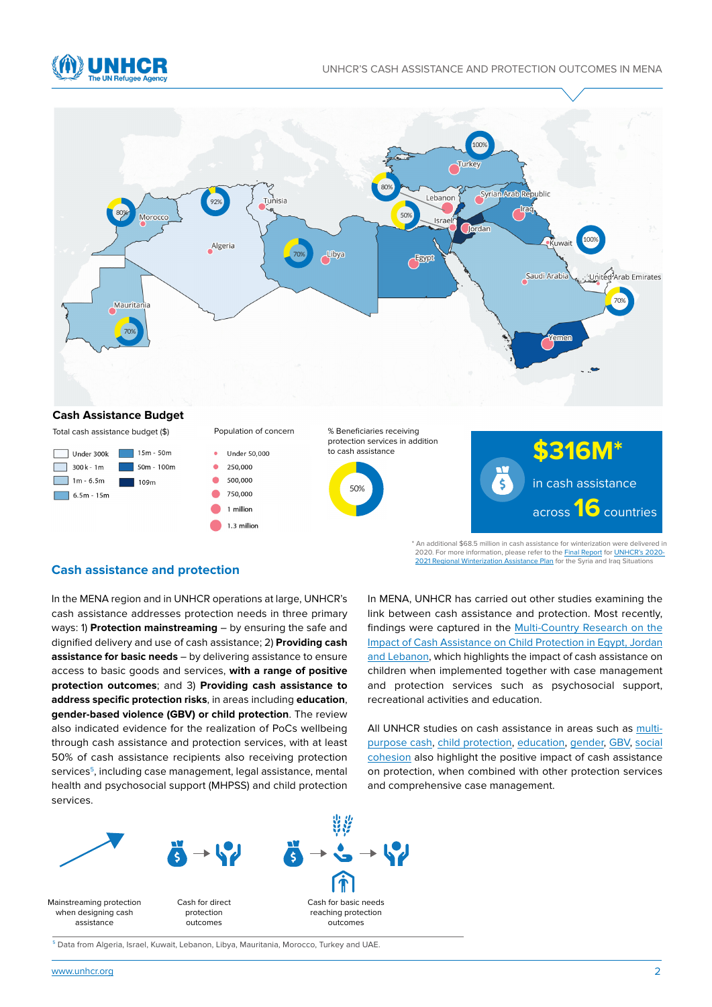



#### **Cash Assistance Budget**

Total cash assistance budget (\$)



Under 50,000 250,000 500,000 750,000 1 million

1.3 million

Population of concern







\* An additional \$68.5 million in cash assistance for winterization were delivered in 2020. For more information, please refer to the <u>Final Report</u> for <u>[UNHCR's 2020-](https://reporting.unhcr.org/sites/default/files/UNHCR%20Syria%20and%20Iraq%20situations%20Regional%20Winter%20Assistance%20Plan%202020-2021%20-%20September%202020.pdf)</u><br><u>2021 Regional Winterization Assistance Plan</u> for the Syria and Iraq Situations

#### **Cash assistance and protection**

In the MENA region and in UNHCR operations at large, UNHCR's cash assistance addresses protection needs in three primary ways: 1) **Protection mainstreaming** – by ensuring the safe and dignified delivery and use of cash assistance; 2) **Providing cash assistance for basic needs** – by delivering assistance to ensure access to basic goods and services, **with a range of positive protection outcomes**; and 3) **Providing cash assistance to**  %07 **address specific protection risks**, in areas including **education**, **gender-based violence (GBV) or child protection**. The review also indicated evidence for the realization of PoCs wellbeing through cash assistance and protection services, with at least 50% of cash assistance recipients also receiving protection services<sup>5</sup>, including case management, legal assistance, mental health and psychosocial support (MHPSS) and child protection services.

In MENA, UNHCR has carried out other studies examining the link between cash assistance and protection. Most recently, findings were captured in the [Multi-Country Research on the](https://www.unhcr.org/5e3a9c914) [Impact of Cash Assistance on Child Protection in Egypt, Jordan](https://www.unhcr.org/5e3a9c914) [and Lebanon,](https://www.unhcr.org/5e3a9c914) which highlights the impact of cash assistance on children when implemented together with case management and protection services such as psychosocial support, recreational activities and education.

All UNHCR studies on cash assistance in areas such as [multi](https://www.unhcr.org/5b0ea3947)[purpose cash,](https://www.unhcr.org/5b0ea3947) [child protection](https://reporting.unhcr.org/sites/default/files/UNHCR%20MENA%20Protection%20Service%20-%20Enhancing%20child%20protection%20services%20through%20Cash-based%20interventions%20-%2011OCT20.pdf), [education](https://www.unhcr.org/5e3a9cfb4), [gender,](https://www.unhcr.org/5bbf501b4) [GBV,](https://www.unhcr.org/5d5edad97) [social](https://www.unhcr.org/5d0ce5e34) [cohesion](https://www.unhcr.org/5d0ce5e34) also highlight the positive impact of cash assistance on protection, when combined with other protection services and comprehensive case management.



<sup>5</sup> Data from Algeria, Israel, Kuwait, Lebanon, Libya, Mauritania, Morocco, Turkey and UAE.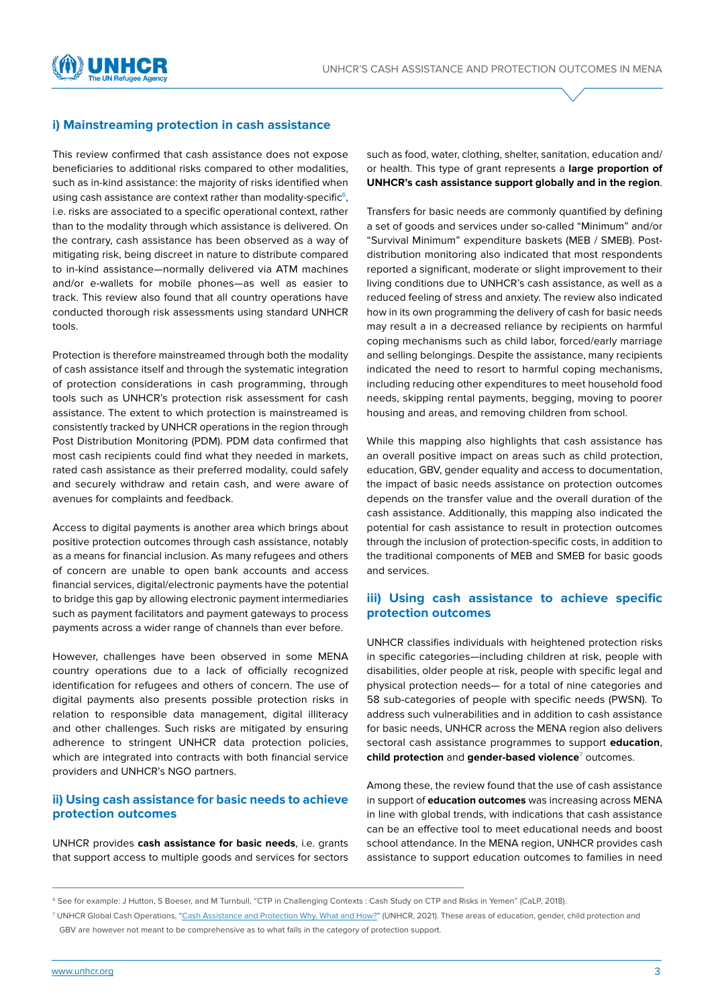

## **i) Mainstreaming protection in cash assistance**

This review confirmed that cash assistance does not expose beneficiaries to additional risks compared to other modalities, such as in-kind assistance: the majority of risks identified when using cash assistance are context rather than modality-specific<sup>6</sup>, i.e. risks are associated to a specific operational context, rather than to the modality through which assistance is delivered. On the contrary, cash assistance has been observed as a way of mitigating risk, being discreet in nature to distribute compared to in-kind assistance—normally delivered via ATM machines and/or e-wallets for mobile phones—as well as easier to track. This review also found that all country operations have conducted thorough risk assessments using standard UNHCR tools.

Protection is therefore mainstreamed through both the modality of cash assistance itself and through the systematic integration of protection considerations in cash programming, through tools such as UNHCR's protection risk assessment for cash assistance. The extent to which protection is mainstreamed is consistently tracked by UNHCR operations in the region through Post Distribution Monitoring (PDM). PDM data confirmed that most cash recipients could find what they needed in markets, rated cash assistance as their preferred modality, could safely and securely withdraw and retain cash, and were aware of avenues for complaints and feedback.

Access to digital payments is another area which brings about positive protection outcomes through cash assistance, notably as a means for financial inclusion. As many refugees and others of concern are unable to open bank accounts and access financial services, digital/electronic payments have the potential to bridge this gap by allowing electronic payment intermediaries such as payment facilitators and payment gateways to process payments across a wider range of channels than ever before.

However, challenges have been observed in some MENA country operations due to a lack of officially recognized identification for refugees and others of concern. The use of digital payments also presents possible protection risks in relation to responsible data management, digital illiteracy and other challenges. Such risks are mitigated by ensuring adherence to stringent UNHCR data protection policies, which are integrated into contracts with both financial service providers and UNHCR's NGO partners.

#### **ii) Using cash assistance for basic needs to achieve protection outcomes**

UNHCR provides **cash assistance for basic needs**, i.e. grants that support access to multiple goods and services for sectors such as food, water, clothing, shelter, sanitation, education and/ or health. This type of grant represents a **large proportion of UNHCR's cash assistance support globally and in the region**.

Transfers for basic needs are commonly quantified by defining a set of goods and services under so-called "Minimum" and/or "Survival Minimum" expenditure baskets (MEB / SMEB). Postdistribution monitoring also indicated that most respondents reported a significant, moderate or slight improvement to their living conditions due to UNHCR's cash assistance, as well as a reduced feeling of stress and anxiety. The review also indicated how in its own programming the delivery of cash for basic needs may result a in a decreased reliance by recipients on harmful coping mechanisms such as child labor, forced/early marriage and selling belongings. Despite the assistance, many recipients indicated the need to resort to harmful coping mechanisms, including reducing other expenditures to meet household food needs, skipping rental payments, begging, moving to poorer housing and areas, and removing children from school.

While this mapping also highlights that cash assistance has an overall positive impact on areas such as child protection, education, GBV, gender equality and access to documentation, the impact of basic needs assistance on protection outcomes depends on the transfer value and the overall duration of the cash assistance. Additionally, this mapping also indicated the potential for cash assistance to result in protection outcomes through the inclusion of protection-specific costs, in addition to the traditional components of MEB and SMEB for basic goods and services.

## **iii) Using cash assistance to achieve specific protection outcomes**

UNHCR classifies individuals with heightened protection risks in specific categories—including children at risk, people with disabilities, older people at risk, people with specific legal and physical protection needs— for a total of nine categories and 58 sub-categories of people with specific needs (PWSN). To address such vulnerabilities and in addition to cash assistance for basic needs, UNHCR across the MENA region also delivers sectoral cash assistance programmes to support **education**, **child protection** and **gender-based violence**<sup>7</sup> outcomes.

Among these, the review found that the use of cash assistance in support of **education outcomes** was increasing across MENA in line with global trends, with indications that cash assistance can be an effective tool to meet educational needs and boost school attendance. In the MENA region, UNHCR provides cash assistance to support education outcomes to families in need

<sup>&</sup>lt;sup>6</sup> See for example: J Hutton, S Boeser, and M Turnbull, "CTP in Challenging Contexts : Cash Study on CTP and Risks in Yemen" (CaLP, 2018).

<sup>7</sup> UNHCR Global Cash Operations, ["Cash Assistance and Protection Why, What and How?](https://www.unhcr.org/616fc52e4.pdf)" (UNHCR, 2021). These areas of education, gender, child protection and GBV are however not meant to be comprehensive as to what falls in the category of protection support.